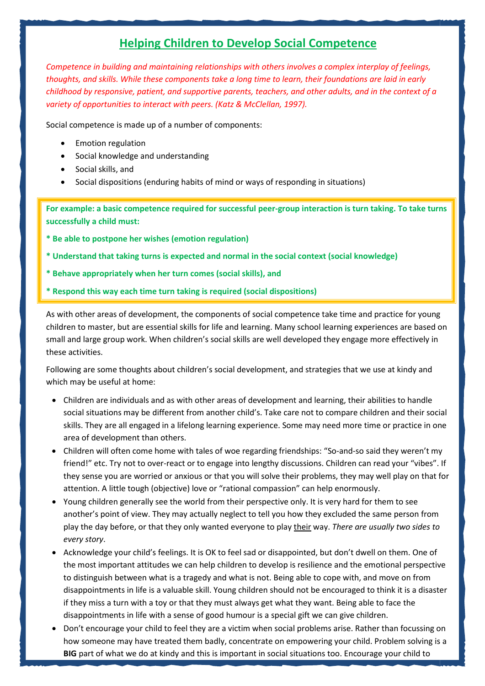## **Helping Children to Develop Social Competence**

*Competence in building and maintaining relationships with others involves a complex interplay of feelings, thoughts, and skills. While these components take a long time to learn, their foundations are laid in early childhood by responsive, patient, and supportive parents, teachers, and other adults, and in the context of a variety of opportunities to interact with peers. (Katz & McClellan, 1997).*

Social competence is made up of a number of components:

- Emotion regulation
- Social knowledge and understanding
- Social skills, and
- Social dispositions (enduring habits of mind or ways of responding in situations)

**For example: a basic competence required for successful peer-group interaction is turn taking. To take turns successfully a child must:**

- **\* Be able to postpone her wishes (emotion regulation)**
- **\* Understand that taking turns is expected and normal in the social context (social knowledge)**
- **\* Behave appropriately when her turn comes (social skills), and**
- **\* Respond this way each time turn taking is required (social dispositions)**

As with other areas of development, the components of social competence take time and practice for young children to master, but are essential skills for life and learning. Many school learning experiences are based on small and large group work. When children's social skills are well developed they engage more effectively in these activities.

Following are some thoughts about children's social development, and strategies that we use at kindy and which may be useful at home:

- Children are individuals and as with other areas of development and learning, their abilities to handle social situations may be different from another child's. Take care not to compare children and their social skills. They are all engaged in a lifelong learning experience. Some may need more time or practice in one area of development than others.
- Children will often come home with tales of woe regarding friendships: "So-and-so said they weren't my friend!" etc. Try not to over-react or to engage into lengthy discussions. Children can read your "vibes". If they sense you are worried or anxious or that you will solve their problems, they may well play on that for attention. A little tough (objective) love or "rational compassion" can help enormously.
- Young children generally see the world from their perspective only. It is very hard for them to see another's point of view. They may actually neglect to tell you how they excluded the same person from play the day before, or that they only wanted everyone to play their way. *There are usually two sides to every story*.
- Acknowledge your child's feelings. It is OK to feel sad or disappointed, but don't dwell on them. One of the most important attitudes we can help children to develop is resilience and the emotional perspective to distinguish between what is a tragedy and what is not. Being able to cope with, and move on from disappointments in life is a valuable skill. Young children should not be encouraged to think it is a disaster if they miss a turn with a toy or that they must always get what they want. Being able to face the disappointments in life with a sense of good humour is a special gift we can give children.
- Don't encourage your child to feel they are a victim when social problems arise. Rather than focussing on how someone may have treated them badly, concentrate on empowering your child. Problem solving is a **BIG** part of what we do at kindy and this is important in social situations too. Encourage your child to